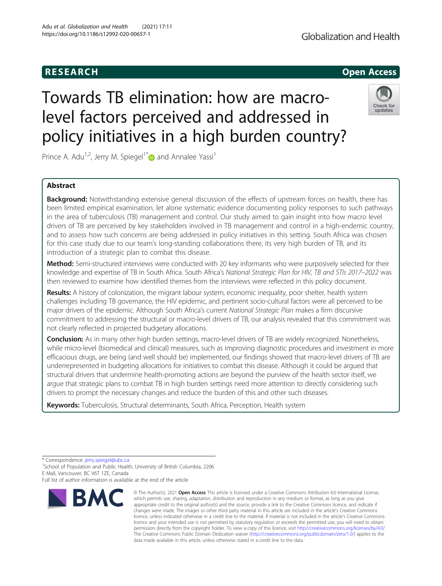# **RESEARCH CHEAR CHEAR CHEAR CHEAR CHEAR CHEAR CHEAR CHEAR CHEAR CHEAR CHEAR CHEAR CHEAR CHEAR CHEAR CHEAR CHEAR**

# Globalization and Health

# Towards TB elimination: how are macrolevel factors perceived and addressed in policy initiatives in a high burden country?



Prince A. Adu<sup>1,2</sup>, Jerry M. Spiegel<sup>1\*</sup> and Annalee Yassi<sup>1</sup>

### Abstract

Background: Notwithstanding extensive general discussion of the effects of upstream forces on health, there has been limited empirical examination, let alone systematic evidence documenting policy responses to such pathways in the area of tuberculosis (TB) management and control. Our study aimed to gain insight into how macro level drivers of TB are perceived by key stakeholders involved in TB management and control in a high-endemic country, and to assess how such concerns are being addressed in policy initiatives in this setting. South Africa was chosen for this case study due to our team's long-standing collaborations there, its very high burden of TB, and its introduction of a strategic plan to combat this disease.

Method: Semi-structured interviews were conducted with 20 key informants who were purposively selected for their knowledge and expertise of TB in South Africa. South Africa's National Strategic Plan for HIV, TB and STIs 2017–2022 was then reviewed to examine how identified themes from the interviews were reflected in this policy document.

Results: A history of colonization, the migrant labour system, economic inequality, poor shelter, health system challenges including TB governance, the HIV epidemic, and pertinent socio-cultural factors were all perceived to be major drivers of the epidemic. Although South Africa's current National Strategic Plan makes a firm discursive commitment to addressing the structural or macro-level drivers of TB, our analysis revealed that this commitment was not clearly reflected in projected budgetary allocations.

Conclusion: As in many other high burden settings, macro-level drivers of TB are widely recognized. Nonetheless, while micro-level (biomedical and clinical) measures, such as improving diagnostic procedures and investment in more efficacious drugs, are being (and well should be) implemented, our findings showed that macro-level drivers of TB are underrepresented in budgeting allocations for initiatives to combat this disease. Although it could be argued that structural drivers that undermine health-promoting actions are beyond the purview of the health sector itself, we argue that strategic plans to combat TB in high burden settings need more attention to directly considering such drivers to prompt the necessary changes and reduce the burden of this and other such diseases.

Keywords: Tuberculosis, Structural determinants, South Africa, Perception, Health system

\* Correspondence: [jerry.speigel@ubc.ca](mailto:jerry.speigel@ubc.ca) <sup>1</sup>

<sup>1</sup>School of Population and Public Health, University of British Columbia, 2206 E Mall, Vancouver, BC V6T 1ZE, Canada

Full list of author information is available at the end of the article



<sup>©</sup> The Author(s), 2021 **Open Access** This article is licensed under a Creative Commons Attribution 4.0 International License, which permits use, sharing, adaptation, distribution and reproduction in any medium or format, as long as you give appropriate credit to the original author(s) and the source, provide a link to the Creative Commons licence, and indicate if changes were made. The images or other third party material in this article are included in the article's Creative Commons licence, unless indicated otherwise in a credit line to the material. If material is not included in the article's Creative Commons licence and your intended use is not permitted by statutory regulation or exceeds the permitted use, you will need to obtain permission directly from the copyright holder. To view a copy of this licence, visit [http://creativecommons.org/licenses/by/4.0/.](http://creativecommons.org/licenses/by/4.0/) The Creative Commons Public Domain Dedication waiver [\(http://creativecommons.org/publicdomain/zero/1.0/](http://creativecommons.org/publicdomain/zero/1.0/)) applies to the data made available in this article, unless otherwise stated in a credit line to the data.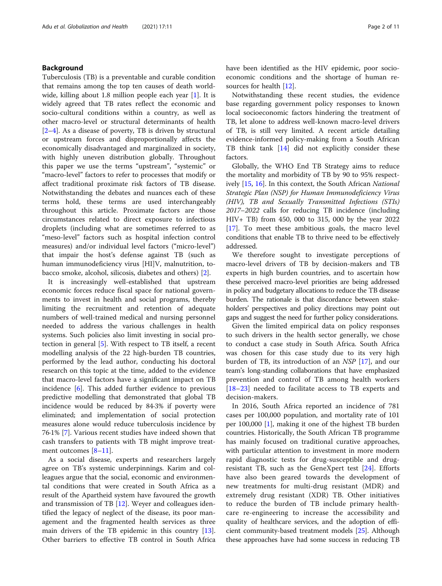#### Background

Tuberculosis (TB) is a preventable and curable condition that remains among the top ten causes of death world-wide, killing about [1](#page-9-0).8 million people each year [1]. It is widely agreed that TB rates reflect the economic and socio-cultural conditions within a country, as well as other macro-level or structural determinants of health [[2](#page-9-0)–[4\]](#page-9-0). As a disease of poverty, TB is driven by structural or upstream forces and disproportionally affects the economically disadvantaged and marginalized in society, with highly uneven distribution globally. Throughout this paper we use the terms "upstream", "systemic" or "macro-level" factors to refer to processes that modify or affect traditional proximate risk factors of TB disease. Notwithstanding the debates and nuances each of these terms hold, these terms are used interchangeably throughout this article. Proximate factors are those circumstances related to direct exposure to infectious droplets (including what are sometimes referred to as "meso-level" factors such as hospital infection control measures) and/or individual level factors ("micro-level") that impair the host's defense against TB (such as human immunodeficiency virus [HI]V, malnutrition, tobacco smoke, alcohol, silicosis, diabetes and others) [[2\]](#page-9-0).

It is increasingly well-established that upstream economic forces reduce fiscal space for national governments to invest in health and social programs, thereby limiting the recruitment and retention of adequate numbers of well-trained medical and nursing personnel needed to address the various challenges in health systems. Such policies also limit investing in social protection in general [\[5](#page-9-0)]. With respect to TB itself, a recent modelling analysis of the 22 high-burden TB countries, performed by the lead author, conducting his doctoral research on this topic at the time, added to the evidence that macro-level factors have a significant impact on TB incidence [\[6](#page-9-0)]. This added further evidence to previous predictive modelling that demonstrated that global TB incidence would be reduced by 84·3% if poverty were eliminated; and implementation of social protection measures alone would reduce tuberculosis incidence by 76·1% [\[7](#page-9-0)]. Various recent studies have indeed shown that cash transfers to patients with TB might improve treatment outcomes [\[8](#page-9-0)–[11](#page-10-0)].

As a social disease, experts and researchers largely agree on TB's systemic underpinnings. Karim and colleagues argue that the social, economic and environmental conditions that were created in South Africa as a result of the Apartheid system have favoured the growth and transmission of TB [[12\]](#page-10-0). Weyer and colleagues identified the legacy of neglect of the disease, its poor management and the fragmented health services as three main drivers of the TB epidemic in this country [\[13](#page-10-0)]. Other barriers to effective TB control in South Africa

have been identified as the HIV epidemic, poor socioeconomic conditions and the shortage of human resources for health [[12\]](#page-10-0).

Notwithstanding these recent studies, the evidence base regarding government policy responses to known local socioeconomic factors hindering the treatment of TB, let alone to address well-known macro-level drivers of TB, is still very limited. A recent article detailing evidence-informed policy-making from a South African TB think tank [\[14](#page-10-0)] did not explicitly consider these factors.

Globally, the WHO End TB Strategy aims to reduce the mortality and morbidity of TB by 90 to 95% respectively [\[15,](#page-10-0) [16\]](#page-10-0). In this context, the South African National Strategic Plan (NSP) for Human Immunodeficiency Virus (HIV), TB and Sexually Transmitted Infections (STIs) 2017–2022 calls for reducing TB incidence (including HIV+ TB) from 450, 000 to 315, 000 by the year 2022 [[17\]](#page-10-0). To meet these ambitious goals, the macro level conditions that enable TB to thrive need to be effectively addressed.

We therefore sought to investigate perceptions of macro-level drivers of TB by decision-makers and TB experts in high burden countries, and to ascertain how these perceived macro-level priorities are being addressed in policy and budgetary allocations to reduce the TB disease burden. The rationale is that discordance between stakeholders' perspectives and policy directions may point out gaps and suggest the need for further policy considerations.

Given the limited empirical data on policy responses to such drivers in the health sector generally, we chose to conduct a case study in South Africa. South Africa was chosen for this case study due to its very high burden of TB, its introduction of an NSP [[17](#page-10-0)], and our team's long-standing collaborations that have emphasized prevention and control of TB among health workers [[18](#page-10-0)–[23\]](#page-10-0) needed to facilitate access to TB experts and decision-makers.

In 2016, South Africa reported an incidence of 781 cases per 100,000 population, and mortality rate of 101 per 100,000 [\[1](#page-9-0)], making it one of the highest TB burden countries. Historically, the South African TB programme has mainly focused on traditional curative approaches, with particular attention to investment in more modern rapid diagnostic tests for drug-susceptible and drugresistant TB, such as the GeneXpert test [[24\]](#page-10-0). Efforts have also been geared towards the development of new treatments for multi-drug resistant (MDR) and extremely drug resistant (XDR) TB. Other initiatives to reduce the burden of TB include primary healthcare re-engineering to increase the accessibility and quality of healthcare services, and the adoption of efficient community-based treatment models [\[25\]](#page-10-0). Although these approaches have had some success in reducing TB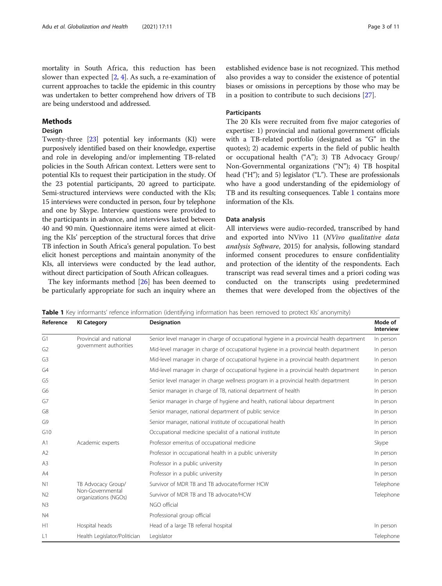mortality in South Africa, this reduction has been slower than expected [\[2,](#page-9-0) [4\]](#page-9-0). As such, a re-examination of current approaches to tackle the epidemic in this country was undertaken to better comprehend how drivers of TB are being understood and addressed.

#### Methods

#### Design

Twenty-three [\[23\]](#page-10-0) potential key informants (KI) were purposively identified based on their knowledge, expertise and role in developing and/or implementing TB-related policies in the South African context. Letters were sent to potential KIs to request their participation in the study. Of the 23 potential participants, 20 agreed to participate. Semi-structured interviews were conducted with the KIs; 15 interviews were conducted in person, four by telephone and one by Skype. Interview questions were provided to the participants in advance, and interviews lasted between 40 and 90 min. Questionnaire items were aimed at eliciting the KIs' perception of the structural forces that drive TB infection in South Africa's general population. To best elicit honest perceptions and maintain anonymity of the KIs, all interviews were conducted by the lead author, without direct participation of South African colleagues.

The key informants method [\[26](#page-10-0)] has been deemed to be particularly appropriate for such an inquiry where an established evidence base is not recognized. This method also provides a way to consider the existence of potential biases or omissions in perceptions by those who may be in a position to contribute to such decisions [[27](#page-10-0)].

#### **Participants**

The 20 KIs were recruited from five major categories of expertise: 1) provincial and national government officials with a TB-related portfolio (designated as "G" in the quotes); 2) academic experts in the field of public health or occupational health ("A"); 3) TB Advocacy Group/ Non-Governmental organizations ("N"); 4) TB hospital head ("H"); and 5) legislator ("L"). These are professionals who have a good understanding of the epidemiology of TB and its resulting consequences. Table 1 contains more information of the KIs.

#### Data analysis

All interviews were audio-recorded, transcribed by hand and exported into NVivo 11 (NVivo qualitative data analysis Software, 2015) for analysis, following standard informed consent procedures to ensure confidentiality and protection of the identity of the respondents. Each transcript was read several times and a priori coding was conducted on the transcripts using predetermined themes that were developed from the objectives of the

Table 1 Key informants' refence information (identifying information has been removed to protect KIs' anonymity)

| Reference      | <b>KI Category</b>                                             | <b>Designation</b>                                                                       | Mode of<br><b>Interview</b> |
|----------------|----------------------------------------------------------------|------------------------------------------------------------------------------------------|-----------------------------|
| G1             | Provincial and national<br>government authorities              | Senior level manager in charge of occupational hygiene in a provincial health department | In person                   |
| G <sub>2</sub> |                                                                | Mid-level manager in charge of occupational hygiene in a provincial health department    | In person                   |
| G3             |                                                                | Mid-level manager in charge of occupational hygiene in a provincial health department    | In person                   |
| G4             |                                                                | Mid-level manager in charge of occupational hygiene in a provincial health department    | In person                   |
| G5             |                                                                | Senior level manager in charge wellness program in a provincial health department        | In person                   |
| G6             |                                                                | Senior manager in charge of TB, national department of health                            | In person                   |
| G7             |                                                                | Senior manager in charge of hygiene and health, national labour department               | In person                   |
| G8             |                                                                | Senior manager, national department of public service                                    | In person                   |
| G9             |                                                                | Senior manager, national institute of occupational health                                | In person                   |
| G10            |                                                                | Occupational medicine specialist of a national institute                                 | In person                   |
| A <sub>1</sub> | Academic experts                                               | Professor emeritus of occupational medicine                                              | Skype                       |
| A2             |                                                                | Professor in occupational health in a public university                                  | In person                   |
| A <sub>3</sub> |                                                                | Professor in a public university                                                         | In person                   |
| A4             |                                                                | Professor in a public university                                                         | In person                   |
| N <sub>1</sub> | TB Advocacy Group/<br>Non-Governmental<br>organizations (NGOs) | Survivor of MDR TB and TB advocate/former HCW                                            | Telephone                   |
| N <sub>2</sub> |                                                                | Survivor of MDR TB and TB advocate/HCW                                                   | Telephone                   |
| N <sub>3</sub> |                                                                | NGO official                                                                             |                             |
| N <sub>4</sub> |                                                                | Professional group official                                                              |                             |
| H1             | Hospital heads                                                 | Head of a large TB referral hospital                                                     | In person                   |
| L1             | Health Legislator/Politician                                   | Legislator                                                                               | Telephone                   |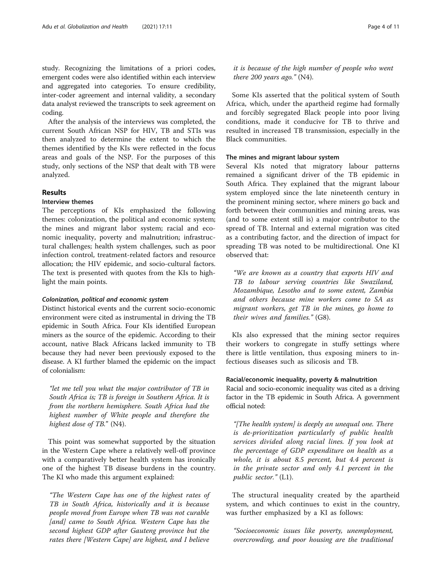study. Recognizing the limitations of a priori codes, emergent codes were also identified within each interview and aggregated into categories. To ensure credibility, inter-coder agreement and internal validity, a secondary data analyst reviewed the transcripts to seek agreement on coding.

After the analysis of the interviews was completed, the current South African NSP for HIV, TB and STIs was then analyzed to determine the extent to which the themes identified by the KIs were reflected in the focus areas and goals of the NSP. For the purposes of this study, only sections of the NSP that dealt with TB were analyzed.

#### Results

#### Interview themes

The perceptions of KIs emphasized the following themes: colonization, the political and economic system; the mines and migrant labor system; racial and economic inequality, poverty and malnutrition; infrastructural challenges; health system challenges, such as poor infection control, treatment-related factors and resource allocation; the HIV epidemic, and socio-cultural factors. The text is presented with quotes from the KIs to highlight the main points.

#### Colonization, political and economic system

Distinct historical events and the current socio-economic environment were cited as instrumental in driving the TB epidemic in South Africa. Four KIs identified European miners as the source of the epidemic. According to their account, native Black Africans lacked immunity to TB because they had never been previously exposed to the disease. A KI further blamed the epidemic on the impact of colonialism:

"let me tell you what the major contributor of TB in South Africa is; TB is foreign in Southern Africa. It is from the northern hemisphere. South Africa had the highest number of White people and therefore the highest dose of TB." (N4).

This point was somewhat supported by the situation in the Western Cape where a relatively well-off province with a comparatively better health system has ironically one of the highest TB disease burdens in the country. The KI who made this argument explained:

"The Western Cape has one of the highest rates of TB in South Africa, historically and it is because people moved from Europe when TB was not curable [and] came to South Africa. Western Cape has the second highest GDP after Gauteng province but the rates there [Western Cape] are highest, and I believe

it is because of the high number of people who went there 200 years ago." (N4).

Some KIs asserted that the political system of South Africa, which, under the apartheid regime had formally and forcibly segregated Black people into poor living conditions, made it conducive for TB to thrive and resulted in increased TB transmission, especially in the Black communities.

#### The mines and migrant labour system

Several KIs noted that migratory labour patterns remained a significant driver of the TB epidemic in South Africa. They explained that the migrant labour system employed since the late nineteenth century in the prominent mining sector, where miners go back and forth between their communities and mining areas, was (and to some extent still is) a major contributor to the spread of TB. Internal and external migration was cited as a contributing factor, and the direction of impact for spreading TB was noted to be multidirectional. One KI observed that:

"We are known as a country that exports HIV and TB to labour serving countries like Swaziland, Mozambique, Lesotho and to some extent, Zambia and others because mine workers come to SA as migrant workers, get TB in the mines, go home to their wives and families." (G8).

KIs also expressed that the mining sector requires their workers to congregate in stuffy settings where there is little ventilation, thus exposing miners to infectious diseases such as silicosis and TB.

#### Racial/economic inequality, poverty & malnutrition

Racial and socio-economic inequality was cited as a driving factor in the TB epidemic in South Africa. A government official noted:

"[The health system] is deeply an unequal one. There is de-prioritization particularly of public health services divided along racial lines. If you look at the percentage of GDP expenditure on health as a whole, it is about 8.5 percent, but 4.4 percent is in the private sector and only 4.1 percent in the public sector." (L1).

The structural inequality created by the apartheid system, and which continues to exist in the country, was further emphasized by a KI as follows:

"Socioeconomic issues like poverty, unemployment, overcrowding, and poor housing are the traditional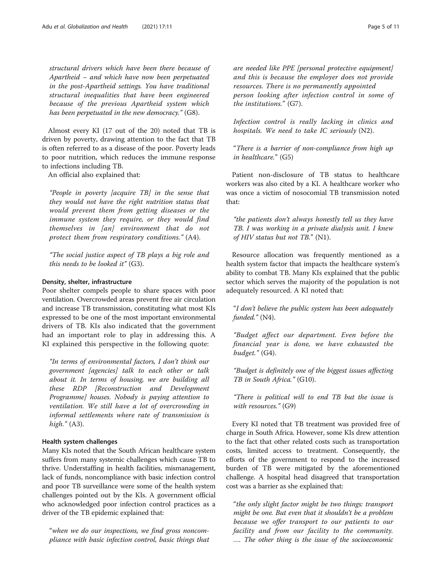structural drivers which have been there because of Apartheid – and which have now been perpetuated in the post-Apartheid settings. You have traditional structural inequalities that have been engineered because of the previous Apartheid system which has been perpetuated in the new democracy." (G8).

Almost every KI (17 out of the 20) noted that TB is driven by poverty, drawing attention to the fact that TB is often referred to as a disease of the poor. Poverty leads to poor nutrition, which reduces the immune response to infections including TB.

An official also explained that:

"People in poverty [acquire TB] in the sense that they would not have the right nutrition status that would prevent them from getting diseases or the immune system they require, or they would find themselves in [an] environment that do not protect them from respiratory conditions." (A4).

"The social justice aspect of TB plays a big role and this needs to be looked it"  $(G3)$ .

#### Density, shelter, infrastructure

Poor shelter compels people to share spaces with poor ventilation. Overcrowded areas prevent free air circulation and increase TB transmission, constituting what most KIs expressed to be one of the most important environmental drivers of TB. KIs also indicated that the government had an important role to play in addressing this. A KI explained this perspective in the following quote:

"In terms of environmental factors, I don't think our government [agencies] talk to each other or talk about it. In terms of housing, we are building all these RDP [Reconstruction and Development Programme] houses. Nobody is paying attention to ventilation. We still have a lot of overcrowding in informal settlements where rate of transmission is high." (A3).

#### Health system challenges

Many KIs noted that the South African healthcare system suffers from many systemic challenges which cause TB to thrive. Understaffing in health facilities, mismanagement, lack of funds, noncompliance with basic infection control and poor TB surveillance were some of the health system challenges pointed out by the KIs. A government official who acknowledged poor infection control practices as a driver of the TB epidemic explained that:

"when we do our inspections, we find gross noncompliance with basic infection control, basic things that are needed like PPE [personal protective equipment] and this is because the employer does not provide resources. There is no permanently appointed person looking after infection control in some of the institutions." (G7).

Infection control is really lacking in clinics and hospitals. We need to take IC seriously  $(N2)$ .

"There is a barrier of non-compliance from high up in healthcare." (G5)

Patient non-disclosure of TB status to healthcare workers was also cited by a KI. A healthcare worker who was once a victim of nosocomial TB transmission noted that:

"the patients don't always honestly tell us they have TB. I was working in a private dialysis unit. I knew of HIV status but not TB." (N1).

Resource allocation was frequently mentioned as a health system factor that impacts the healthcare system's ability to combat TB. Many KIs explained that the public sector which serves the majority of the population is not adequately resourced. A KI noted that:

"I don't believe the public system has been adequately funded." (N4).

"Budget affect our department. Even before the financial year is done, we have exhausted the budget." (G4).

"Budget is definitely one of the biggest issues affecting TB in South Africa." (G10).

"There is political will to end TB but the issue is with resources." (G9)

Every KI noted that TB treatment was provided free of charge in South Africa. However, some KIs drew attention to the fact that other related costs such as transportation costs, limited access to treatment. Consequently, the efforts of the government to respond to the increased burden of TB were mitigated by the aforementioned challenge. A hospital head disagreed that transportation cost was a barrier as she explained that:

"the only slight factor might be two things: transport might be one. But even that it shouldn't be a problem because we offer transport to our patients to our facility and from our facility to the community. …. The other thing is the issue of the socioeconomic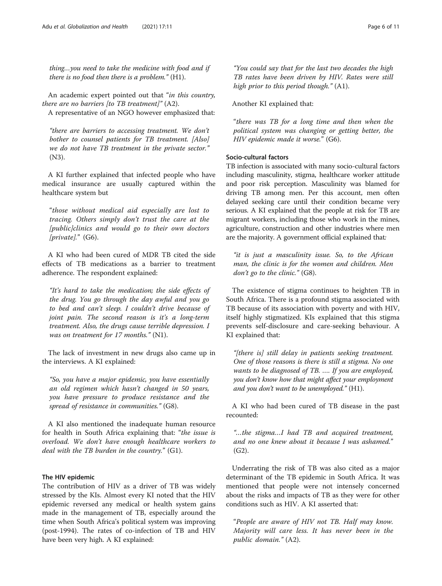thing…you need to take the medicine with food and if there is no food then there is a problem." (H1).

An academic expert pointed out that "in this country, there are no barriers [to TB treatment]"  $(A2)$ .

A representative of an NGO however emphasized that:

"there are barriers to accessing treatment. We don't bother to counsel patients for TB treatment. [Also] we do not have TB treatment in the private sector." (N3).

A KI further explained that infected people who have medical insurance are usually captured within the healthcare system but

"those without medical aid especially are lost to tracing. Others simply don't trust the care at the [public]clinics and would go to their own doctors  $[private].$ " (G6).

A KI who had been cured of MDR TB cited the side effects of TB medications as a barrier to treatment adherence. The respondent explained:

"It's hard to take the medication; the side effects of the drug. You go through the day awful and you go to bed and can't sleep. I couldn't drive because of joint pain. The second reason is it's a long-term treatment. Also, the drugs cause terrible depression. I was on treatment for 17 months." (N1).

The lack of investment in new drugs also came up in the interviews. A KI explained:

"So, you have a major epidemic, you have essentially an old regimen which hasn't changed in 50 years, you have pressure to produce resistance and the spread of resistance in communities." (G8).

A KI also mentioned the inadequate human resource for health in South Africa explaining that: "the issue is overload. We don't have enough healthcare workers to deal with the TB burden in the country." (G1).

#### The HIV epidemic

The contribution of HIV as a driver of TB was widely stressed by the KIs. Almost every KI noted that the HIV epidemic reversed any medical or health system gains made in the management of TB, especially around the time when South Africa's political system was improving (post-1994). The rates of co-infection of TB and HIV have been very high. A KI explained:

"You could say that for the last two decades the high TB rates have been driven by HIV. Rates were still high prior to this period though." (A1).

Another KI explained that:

"there was TB for a long time and then when the political system was changing or getting better, the HIV epidemic made it worse." (G6).

#### Socio-cultural factors

TB infection is associated with many socio-cultural factors including masculinity, stigma, healthcare worker attitude and poor risk perception. Masculinity was blamed for driving TB among men. Per this account, men often delayed seeking care until their condition became very serious. A KI explained that the people at risk for TB are migrant workers, including those who work in the mines, agriculture, construction and other industries where men are the majority. A government official explained that:

"it is just a masculinity issue. So, to the African man, the clinic is for the women and children. Men don't go to the clinic." (G8).

The existence of stigma continues to heighten TB in South Africa. There is a profound stigma associated with TB because of its association with poverty and with HIV, itself highly stigmatized. KIs explained that this stigma prevents self-disclosure and care-seeking behaviour. A KI explained that:

"[there is] still delay in patients seeking treatment. One of those reasons is there is still a stigma. No one wants to be diagnosed of TB. …. If you are employed, you don't know how that might affect your employment and you don't want to be unemployed." (H1).

A KI who had been cured of TB disease in the past recounted:

"…the stigma…I had TB and acquired treatment, and no one knew about it because I was ashamed." (G2).

Underrating the risk of TB was also cited as a major determinant of the TB epidemic in South Africa. It was mentioned that people were not intensely concerned about the risks and impacts of TB as they were for other conditions such as HIV. A KI asserted that:

"People are aware of HIV not TB. Half may know. Majority will care less. It has never been in the public domain." (A2).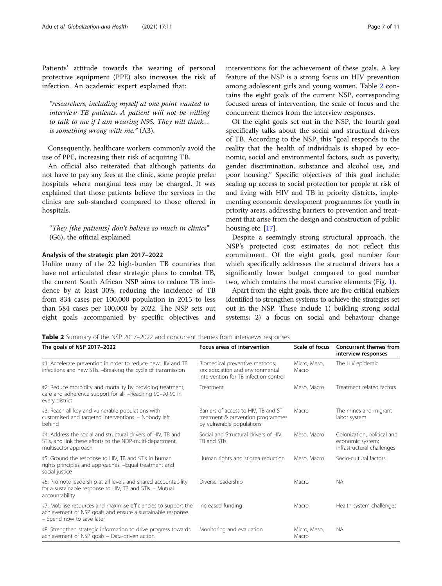Patients' attitude towards the wearing of personal protective equipment (PPE) also increases the risk of infection. An academic expert explained that:

"researchers, including myself at one point wanted to interview TB patients. A patient will not be willing to talk to me if I am wearing N95. They will think… is something wrong with me." (A3).

Consequently, healthcare workers commonly avoid the use of PPE, increasing their risk of acquiring TB.

An official also reiterated that although patients do not have to pay any fees at the clinic, some people prefer hospitals where marginal fees may be charged. It was explained that those patients believe the services in the clinics are sub-standard compared to those offered in hospitals.

"They [the patients] don't believe so much in clinics" (G6), the official explained.

#### Analysis of the strategic plan 2017–2022

Unlike many of the 22 high-burden TB countries that have not articulated clear strategic plans to combat TB, the current South African NSP aims to reduce TB incidence by at least 30%, reducing the incidence of TB from 834 cases per 100,000 population in 2015 to less than 584 cases per 100,000 by 2022. The NSP sets out eight goals accompanied by specific objectives and

Of the eight goals set out in the NSP, the fourth goal specifically talks about the social and structural drivers of TB. According to the NSP, this "goal responds to the reality that the health of individuals is shaped by economic, social and environmental factors, such as poverty, gender discrimination, substance and alcohol use, and poor housing." Specific objectives of this goal include: scaling up access to social protection for people at risk of and living with HIV and TB in priority districts, implementing economic development programmes for youth in priority areas, addressing barriers to prevention and treatment that arise from the design and construction of public housing etc. [\[17](#page-10-0)].

Despite a seemingly strong structural approach, the NSP's projected cost estimates do not reflect this commitment. Of the eight goals, goal number four which specifically addresses the structural drivers has a significantly lower budget compared to goal number two, which contains the most curative elements (Fig. [1\)](#page-7-0).

Apart from the eight goals, there are five critical enablers identified to strengthen systems to achieve the strategies set out in the NSP. These include 1) building strong social systems; 2) a focus on social and behaviour change

**Table 2** Summary of the NSP 2017–2022 and concurrent themes from interviews responses

| The goals of NSP 2017-2022                                                                                                                                  | <b>Focus areas of intervention</b>                                                                         | Scale of focus        | <b>Concurrent themes from</b><br>interview responses                          |
|-------------------------------------------------------------------------------------------------------------------------------------------------------------|------------------------------------------------------------------------------------------------------------|-----------------------|-------------------------------------------------------------------------------|
| #1: Accelerate prevention in order to reduce new HIV and TB<br>infections and new STIs. -Breaking the cycle of transmission                                 | Biomedical preventive methods;<br>sex education and environmental<br>intervention for TB infection control | Micro. Meso.<br>Macro | The HIV epidemic                                                              |
| #2: Reduce morbidity and mortality by providing treatment,<br>care and adherence support for all. -Reaching 90-90-90 in<br>every district                   | Treatment                                                                                                  | Meso, Macro           | Treatment related factors                                                     |
| #3: Reach all key and vulnerable populations with<br>customised and targeted interventions. - Nobody left<br>behind                                         | Barriers of access to HIV, TB and STI<br>treatment & prevention programmes<br>by vulnerable populations    | Macro                 | The mines and migrant<br>labor system                                         |
| #4: Address the social and structural drivers of HIV. TB and<br>STIs, and link these efforts to the NDP-multi-department,<br>multisector approach           | Social and Structural drivers of HIV,<br>TB and STIs                                                       | Meso, Macro           | Colonization, political and<br>economic system;<br>infrastructural challenges |
| #5: Ground the response to HIV, TB and STIs in human<br>rights principles and approaches. - Equal treatment and<br>social justice                           | Human rights and stigma reduction                                                                          | Meso, Macro           | Socio-cultural factors                                                        |
| #6: Promote leadership at all levels and shared accountability<br>for a sustainable response to HIV, TB and STIs. - Mutual<br>accountability                | Diverse leadership                                                                                         | Macro                 | <b>NA</b>                                                                     |
| #7: Mobilise resources and maximise efficiencies to support the<br>achievement of NSP goals and ensure a sustainable response.<br>- Spend now to save later | Increased funding                                                                                          | Macro                 | Health system challenges                                                      |
| #8: Strengthen strategic information to drive progress towards<br>achievement of NSP goals - Data-driven action                                             | Monitoring and evaluation                                                                                  | Micro, Meso,<br>Macro | <b>NA</b>                                                                     |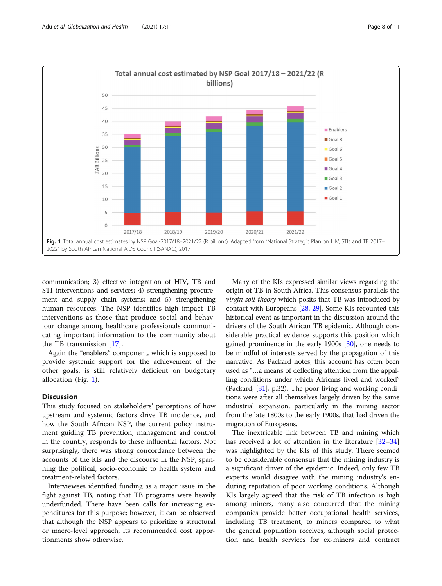<span id="page-7-0"></span>

communication; 3) effective integration of HIV, TB and STI interventions and services; 4) strengthening procurement and supply chain systems; and 5) strengthening human resources. The NSP identifies high impact TB interventions as those that produce social and behaviour change among healthcare professionals communicating important information to the community about the TB transmission [\[17](#page-10-0)].

Again the "enablers" component, which is supposed to provide systemic support for the achievement of the other goals, is still relatively deficient on budgetary allocation (Fig. 1).

#### **Discussion**

This study focused on stakeholders' perceptions of how upstream and systemic factors drive TB incidence, and how the South African NSP, the current policy instrument guiding TB prevention, management and control in the country, responds to these influential factors. Not surprisingly, there was strong concordance between the accounts of the KIs and the discourse in the NSP, spanning the political, socio-economic to health system and treatment-related factors.

Interviewees identified funding as a major issue in the fight against TB, noting that TB programs were heavily underfunded. There have been calls for increasing expenditures for this purpose; however, it can be observed that although the NSP appears to prioritize a structural or macro-level approach, its recommended cost apportionments show otherwise.

Many of the KIs expressed similar views regarding the origin of TB in South Africa. This consensus parallels the virgin soil theory which posits that TB was introduced by contact with Europeans [\[28,](#page-10-0) [29\]](#page-10-0). Some KIs recounted this historical event as important in the discussion around the drivers of the South African TB epidemic. Although considerable practical evidence supports this position which gained prominence in the early 1900s [[30\]](#page-10-0), one needs to be mindful of interests served by the propagation of this narrative. As Packard notes, this account has often been used as "…a means of deflecting attention from the appalling conditions under which Africans lived and worked" (Packard, [\[31\]](#page-10-0), p.32). The poor living and working conditions were after all themselves largely driven by the same industrial expansion, particularly in the mining sector from the late 1800s to the early 1900s, that had driven the migration of Europeans.

The inextricable link between TB and mining which has received a lot of attention in the literature [[32](#page-10-0)–[34](#page-10-0)] was highlighted by the KIs of this study. There seemed to be considerable consensus that the mining industry is a significant driver of the epidemic. Indeed, only few TB experts would disagree with the mining industry's enduring reputation of poor working conditions. Although KIs largely agreed that the risk of TB infection is high among miners, many also concurred that the mining companies provide better occupational health services, including TB treatment, to miners compared to what the general population receives, although social protection and health services for ex-miners and contract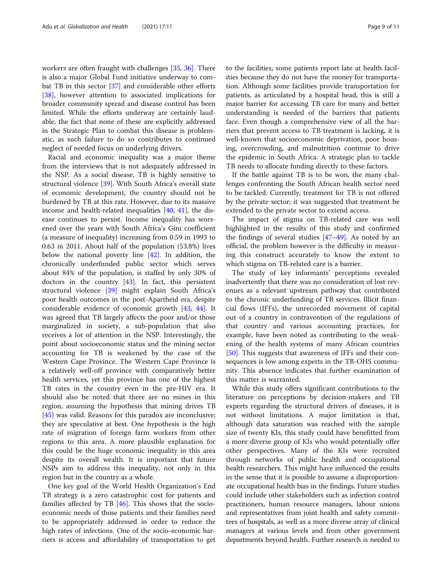workers are often fraught with challenges [\[35,](#page-10-0) [36\]](#page-10-0). There is also a major Global Fund initiative underway to combat TB in this sector [[37\]](#page-10-0) and considerable other efforts [[38\]](#page-10-0), however attention to associated implications for broader community spread and disease control has been limited. While the efforts underway are certainly laudable, the fact that none of these are explicitly addressed in the Strategic Plan to combat this disease is problematic, as such failure to do so contributes to continued neglect of needed focus on underlying drivers.

Racial and economic inequality was a major theme from the interviews that is not adequately addressed in the NSP. As a social disease, TB is highly sensitive to structural violence [[39\]](#page-10-0). With South Africa's overall state of economic development, the country should not be burdened by TB at this rate. However, due to its massive income and health-related inequalities [[40](#page-10-0), [41](#page-10-0)], the disease continues to persist. Income inequality has worsened over the years with South Africa's Gini coefficient (a measure of inequality) increasing from 0.59 in 1993 to 0.63 in 2011. About half of the population (53.8%) lives below the national poverty line  $[42]$  $[42]$ . In addition, the chronically underfunded public sector which serves about 84% of the population, is staffed by only 30% of doctors in the country [[43\]](#page-10-0). In fact, this persistent structural violence [[39\]](#page-10-0) might explain South Africa's poor health outcomes in the post-Apartheid era, despite considerable evidence of economic growth [\[43,](#page-10-0) [44\]](#page-10-0). It was agreed that TB largely affects the poor and/or those marginalized in society, a sub-population that also receives a lot of attention in the NSP. Interestingly, the point about socioeconomic status and the mining sector accounting for TB is weakened by the case of the Western Cape Province. The Western Cape Province is a relatively well-off province with comparatively better health services, yet this province has one of the highest TB rates in the country even in the pre-HIV era. It should also be noted that there are no mines in this region, assuming the hypothesis that mining drives TB [[45\]](#page-10-0) was valid. Reasons for this paradox are inconclusive; they are speculative at best. One hypothesis is the high rate of migration of foreign farm workers from other regions to this area. A more plausible explanation for this could be the huge economic inequality in this area despite its overall wealth. It is important that future NSPs aim to address this inequality, not only in this region but in the country as a whole.

One key goal of the World Health Organization's End TB strategy is a zero catastrophic cost for patients and families affected by TB [[46\]](#page-10-0). This shows that the socioeconomic needs of those patients and their families need to be appropriately addressed in order to reduce the high rates of infections. One of the socio-economic barriers is access and affordability of transportation to get

to the facilities; some patients report late at health facilities because they do not have the money for transportation. Although some facilities provide transportation for patients, as articulated by a hospital head, this is still a major barrier for accessing TB care for many and better understanding is needed of the barriers that patients face. Even though a comprehensive view of all the barriers that prevent access to TB treatment is lacking, it is well-known that socioeconomic deprivation, poor housing, overcrowding, and malnutrition continue to drive the epidemic in South Africa. A strategic plan to tackle TB needs to allocate funding directly to these factors.

If the battle against TB is to be won, the many challenges confronting the South African health sector need to be tackled. Currently, treatment for TB is not offered by the private sector; it was suggested that treatment be extended to the private sector to extend access.

The impact of stigma on TB-related care was well highlighted in the results of this study and confirmed the findings of several studies  $[47-49]$  $[47-49]$  $[47-49]$  $[47-49]$  $[47-49]$ . As noted by an official, the problem however is the difficulty in measuring this construct accurately to know the extent to which stigma on TB-related care is a barrier.

The study of key informants' perceptions revealed inadvertently that there was no consideration of lost revenues as a relevant upstream pathway that contributed to the chronic underfunding of TB services. Illicit financial flows (IFFs), the unrecorded movement of capital out of a country in contravention of the regulations of that country and various accounting practices, for example, have been noted as contributing to the weakening of the health systems of many African countries [[50\]](#page-10-0). This suggests that awareness of IFFs and their consequences is low among experts in the TB-OHS community. This absence indicates that further examination of this matter is warranted.

While this study offers significant contributions to the literature on perceptions by decision-makers and TB experts regarding the structural drivers of diseases, it is not without limitations. A major limitation is that, although data saturation was reached with the sample size of twenty KIs, this study could have benefitted from a more diverse group of KIs who would potentially offer other perspectives. Many of the KIs were recruited through networks of public health and occupational health researchers. This might have influenced the results in the sense that it is possible to assume a disproportionate occupational health bias in the findings. Future studies could include other stakeholders such as infection control practitioners, human resource managers, labour unions and representatives from joint health and safety committees of hospitals, as well as a more diverse array of clinical managers at various levels and from other government departments beyond health. Further research is needed to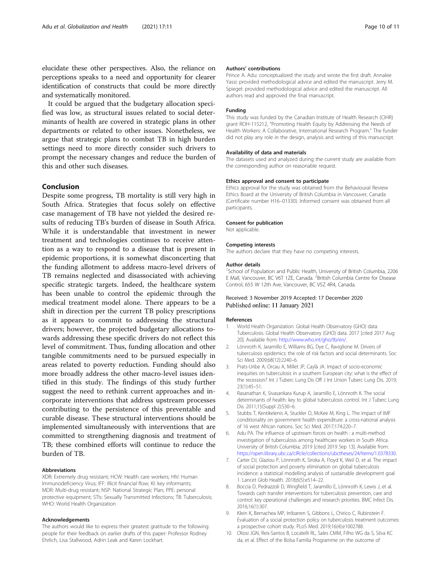<span id="page-9-0"></span>elucidate these other perspectives. Also, the reliance on perceptions speaks to a need and opportunity for clearer identification of constructs that could be more directly and systematically monitored.

It could be argued that the budgetary allocation specified was low, as structural issues related to social determinants of health are covered in strategic plans in other departments or related to other issues. Nonetheless, we argue that strategic plans to combat TB in high burden settings need to more directly consider such drivers to prompt the necessary changes and reduce the burden of this and other such diseases.

#### Conclusion

Despite some progress, TB mortality is still very high in South Africa. Strategies that focus solely on effective case management of TB have not yielded the desired results of reducing TB's burden of disease in South Africa. While it is understandable that investment in newer treatment and technologies continues to receive attention as a way to respond to a disease that is present in epidemic proportions, it is somewhat disconcerting that the funding allotment to address macro-level drivers of TB remains neglected and disassociated with achieving specific strategic targets. Indeed, the healthcare system has been unable to control the epidemic through the medical treatment model alone. There appears to be a shift in direction per the current TB policy prescriptions as it appears to commit to addressing the structural drivers; however, the projected budgetary allocations towards addressing these specific drivers do not reflect this level of commitment. Thus, funding allocation and other tangible commitments need to be pursued especially in areas related to poverty reduction. Funding should also more broadly address the other macro-level issues identified in this study. The findings of this study further suggest the need to rethink current approaches and incorporate interventions that address upstream processes contributing to the persistence of this preventable and curable disease. These structural interventions should be implemented simultaneously with interventions that are committed to strengthening diagnosis and treatment of TB; these combined efforts will continue to reduce the burden of TB.

#### Abbreviations

XDR: Extremely drug resistant; HCW: Health care workers; HIV: Human Immunodeficiency Virus; IFF: Illicit financial flow; KI: key informants; MDR: Multi-drug resistant; NSP: National Strategic Plan; PPE: personal protective equipment; STIs: Sexually Transmitted Infections; TB: Tuberculosis; WHO: World Health Organization

#### Acknowledgements

The authors would like to express their greatest gratitude to the following people for their feedback on earlier drafts of this paper: Professor Rodney Ehrlich, Lisa Stallwood, Adrin Leak and Karen Lockhart.

#### Authors' contributions

Prince A. Adu: conceptualized the study and wrote the first draft. Annalee Yassi: provided methodological advice and edited the manuscript. Jerry M. Spiegel: provided methodological advice and edited the manuscript. All authors read and approved the final manuscript.

#### Funding

This study was funded by the Canadian Institute of Health Research (CIHR) grant ROH-115212, "Promoting Health Equity by Addressing the Needs of Health Workers: A Collaborative, International Research Program." The funder did not play any role in the design, analysis and writing of this manuscript.

#### Availability of data and materials

The datasets used and analyzed during the current study are available from the corresponding author on reasonable request.

#### Ethics approval and consent to participate

Ethics approval for the study was obtained from the Behavioural Review Ethics Board at the University of British Columbia in Vancouver, Canada (Certificate number H16–01330). Informed consent was obtained from all participants.

#### Consent for publication

Not applicable.

#### Competing interests

The authors declare that they have no competing interests.

#### Author details

<sup>1</sup>School of Population and Public Health, University of British Columbia, 2206 E Mall, Vancouver, BC V6T 1ZE, Canada. <sup>2</sup>British Columbia Centre for Disease Control, 655 W 12th Ave, Vancouver, BC V5Z 4R4, Canada.

#### Received: 3 November 2019 Accepted: 17 December 2020 Published online: 11 January 2021

#### References

- 1. World Health Organization. Global Health Observatory (GHO) data: Tuberculosis. Global Health Observatory (GHO) data. 2017 [cited 2017 Aug 20]. Available from: <http://www.who.int/gho/tb/en/>.
- 2. Lönnroth K, Jaramillo E, Williams BG, Dye C, Raviglione M. Drivers of tuberculosis epidemics: the role of risk factors and social determinants. Soc Sci Med. 2009;68(12):2240–6.
- 3. Prats-Uribe A, Orcau A, Millet JP, Caylà JA. Impact of socio-economic inequities on tuberculosis in a southern European city: what is the effect of the recession? Int J Tuberc Lung Dis Off J Int Union Tuberc Lung Dis. 2019; 23(1):45–51.
- 4. Rasanathan K, Sivasankara Kurup A, Jaramillo E, Lönnroth K. The social determinants of health: key to global tuberculosis control. Int J Tuberc Lung Dis. 2011;15(Suppl 2):S30–6.
- 5. Stubbs T, Kentikelenis A, Stuckler D, McKee M, King L. The impact of IMF conditionality on government health expenditure: a cross-national analysis of 16 west African nations. Soc Sci Med. 2017;174:220–7.
- Adu PA. The influence of upstream forces on health : a multi-method investigation of tuberculosis among healthcare workers in South Africa. University of British Columbia; 2019 [cited 2019 Sep 13]. Available from: <https://open.library.ubc.ca/cIRcle/collections/ubctheses/24/items/1.0378330>.
- 7. Carter DJ, Glaziou P, Lönnroth K, Siroka A, Floyd K, Weil D, et al. The impact of social protection and poverty elimination on global tuberculosis incidence: a statistical modelling analysis of sustainable development goal 1. Lancet Glob Health. 2018;6(5):e514–22.
- 8. Boccia D, Pedrazzoli D, Wingfield T, Jaramillo E, Lönnroth K, Lewis J, et al. Towards cash transfer interventions for tuberculosis prevention, care and control: key operational challenges and research priorities. BMC Infect Dis. 2016;16(1):307.
- 9. Klein K, Bernachea MP, Irribarren S, Gibbons L, Chirico C, Rubinstein F. Evaluation of a social protection policy on tuberculosis treatment outcomes: a prospective cohort study. PLoS Med. 2019;16(4):e1002788.
- 10. Oliosi JGN, Reis-Santos B, Locatelli RL, Sales CMM, Filho WG da S, Silva KC da, et al. Effect of the Bolsa Familia Programme on the outcome of